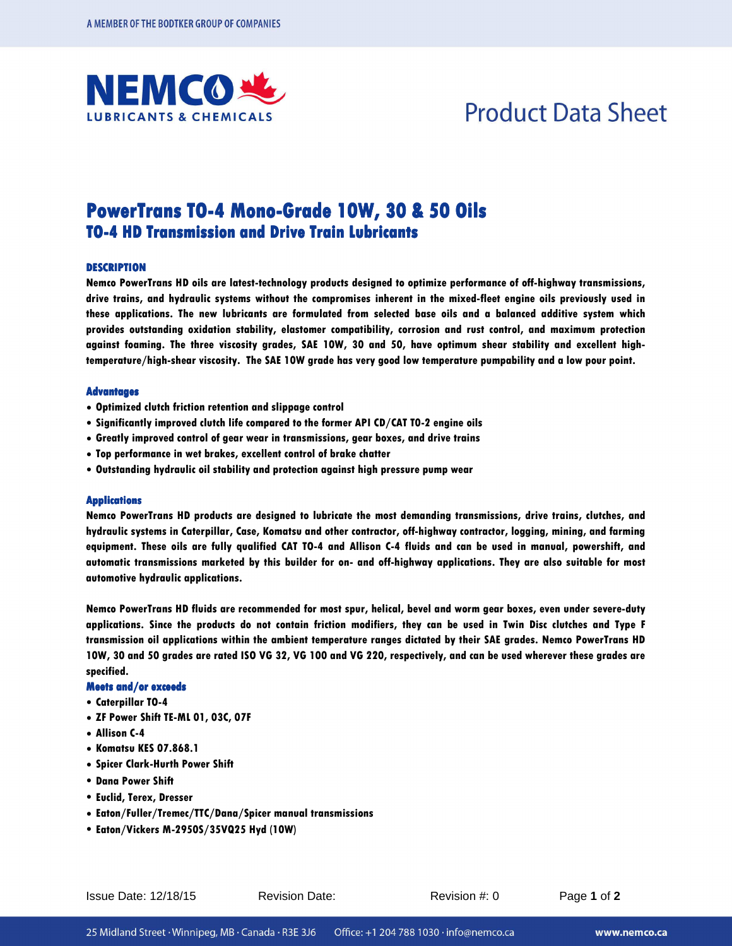

## **Product Data Sheet**

### PowerTrans TO-4 Mono-Grade 10W, 30 & 50 Oils **TO-4 HD Transmission and Drive Train Lubricants**

#### **DESCRIPTION DESCRIPTION**

**Nemco PowerTrans HD oils are latest-technology products designed to optimize performance of off-highway transmissions, drive trains, and hydraulic systems without the compromises inherent in the mixed-fleet engine oils previously used in these applications. The new lubricants are formulated from selected base oils and a balanced additive system which provides outstanding oxidation stability, elastomer compatibility, corrosion and rust control, and maximum protection against foaming. The three viscosity grades, SAE 10W, 30 and 50, have optimum shear stability and excellent hightemperature/high-shear viscosity. The SAE 10W grade has very good low temperature pumpability and a low pour point.** 

#### **Advantages**

- **• Optimized clutch friction retention and slippage control**
- **• Significantly improved clutch life compared to the former API CD/CAT T0-2 engine oils**
- **• Greatly improved control of gear wear in transmissions, gear boxes, and drive trains**
- **• Top performance in wet brakes, excellent control of brake chatter**
- **• Outstanding hydraulic oil stability and protection against high pressure pump wear**

#### **Applications Applications**

**Nemco PowerTrans HD products are designed to lubricate the most demanding transmissions, drive trains, clutches, and hydraulic systems in Caterpillar, Case, Komatsu and other contractor, off-highway contractor, logging, mining, and farming equipment. These oils are fully qualified CAT TO-4 and Allison C-4 fluids and can be used in manual, powershift, and automatic transmissions marketed by this builder for on- and off-highway applications. They are also suitable for most automotive hydraulic applications.** 

**Nemco PowerTrans HD fluids are recommended for most spur, helical, bevel and worm gear boxes, even under severe-duty applications. Since the products do not contain friction modifiers, they can be used in Twin Disc clutches and Type F transmission oil applications within the ambient temperature ranges dictated by their SAE grades. Nemco PowerTrans HD 10W, 30 and 50 grades are rated ISO VG 32, VG 100 and VG 220, respectively, and can be used wherever these grades are specified.** 

#### **Meetsand/orexceeds exceeds**

- **• Caterpillar TO-4**
- **• ZF Power Shift TE-ML 01, 03C, 07F**
- **• Allison C-4**
- **• Komatsu KES 07.868.1**
- **• Spicer Clark-Hurth Power Shift**
- **• Dana Power Shift**
- **• Euclid, Terex, Dresser**
- **• Eaton/Fuller/Tremec/TTC/Dana/Spicer manual transmissions**
- **• Eaton/Vickers M-2950S/35VQ25 Hyd (10W)**

Issue Date: 12/18/15 Revision Date: Revision #: 0 Page **1** of **2**